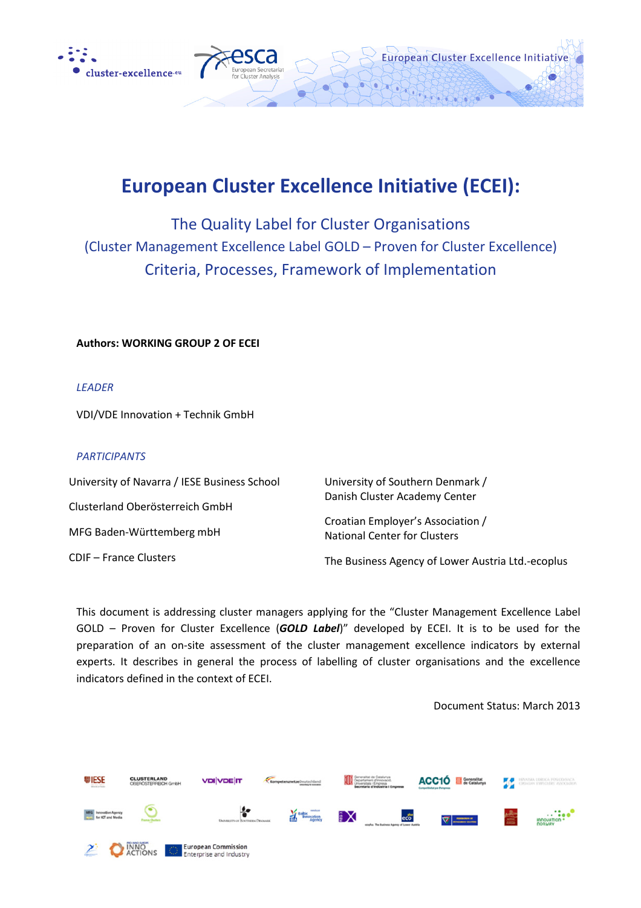



# European Cluster Excellence Initiative (ECEI):

The Quality Label for Cluster Organisations (Cluster Management Excellence Label GOLD – Proven for Cluster Excellence) Criteria, Processes, Framework of Implementation

Authors: WORKING GROUP 2 OF ECEI

LEADER

VDI/VDE Innovation + Technik GmbH

#### PARTICIPANTS

| University of Navarra / IESE Business School | University of Southern Denmark /                                         |
|----------------------------------------------|--------------------------------------------------------------------------|
| Clusterland Oberösterreich GmbH              | Danish Cluster Academy Center                                            |
| MFG Baden-Württemberg mbH                    | Croatian Employer's Association /<br><b>National Center for Clusters</b> |
| <b>CDIF</b> – France Clusters                | The Business Agency of Lower Austria Ltd.-ecoplus                        |

This document is addressing cluster managers applying for the "Cluster Management Excellence Label GOLD - Proven for Cluster Excellence (GOLD Label)" developed by ECEI. It is to be used for the preparation of an on-site assessment of the cluster management excellence indicators by external experts. It describes in general the process of labelling of cluster organisations and the excellence indicators defined in the context of ECEI.

Document Status: March 2013

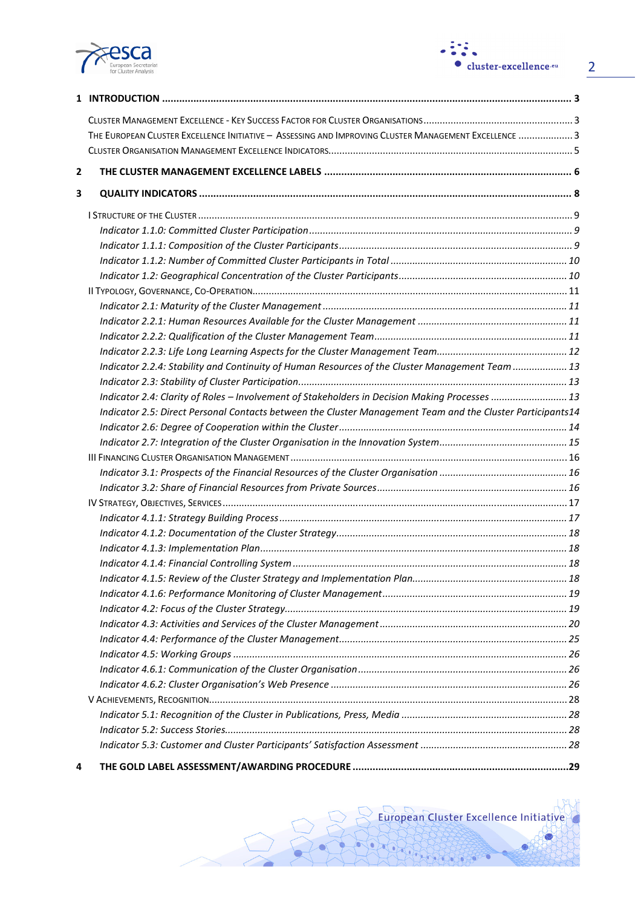



2

|   | THE EUROPEAN CLUSTER EXCELLENCE INITIATIVE - ASSESSING AND IMPROVING CLUSTER MANAGEMENT EXCELLENCE  3      |  |
|---|------------------------------------------------------------------------------------------------------------|--|
|   |                                                                                                            |  |
| 2 |                                                                                                            |  |
| 3 |                                                                                                            |  |
|   |                                                                                                            |  |
|   |                                                                                                            |  |
|   |                                                                                                            |  |
|   |                                                                                                            |  |
|   |                                                                                                            |  |
|   |                                                                                                            |  |
|   |                                                                                                            |  |
|   |                                                                                                            |  |
|   |                                                                                                            |  |
|   |                                                                                                            |  |
|   | Indicator 2.2.4: Stability and Continuity of Human Resources of the Cluster Management Team  13            |  |
|   |                                                                                                            |  |
|   | Indicator 2.4: Clarity of Roles - Involvement of Stakeholders in Decision Making Processes  13             |  |
|   | Indicator 2.5: Direct Personal Contacts between the Cluster Management Team and the Cluster Participants14 |  |
|   |                                                                                                            |  |
|   |                                                                                                            |  |
|   |                                                                                                            |  |
|   |                                                                                                            |  |
|   |                                                                                                            |  |
|   |                                                                                                            |  |
|   |                                                                                                            |  |
|   |                                                                                                            |  |
|   |                                                                                                            |  |
|   |                                                                                                            |  |
|   |                                                                                                            |  |
|   |                                                                                                            |  |
|   |                                                                                                            |  |
|   |                                                                                                            |  |
|   |                                                                                                            |  |
|   |                                                                                                            |  |
|   |                                                                                                            |  |
|   |                                                                                                            |  |
|   |                                                                                                            |  |
|   |                                                                                                            |  |
|   |                                                                                                            |  |
|   |                                                                                                            |  |
| 4 |                                                                                                            |  |
|   |                                                                                                            |  |

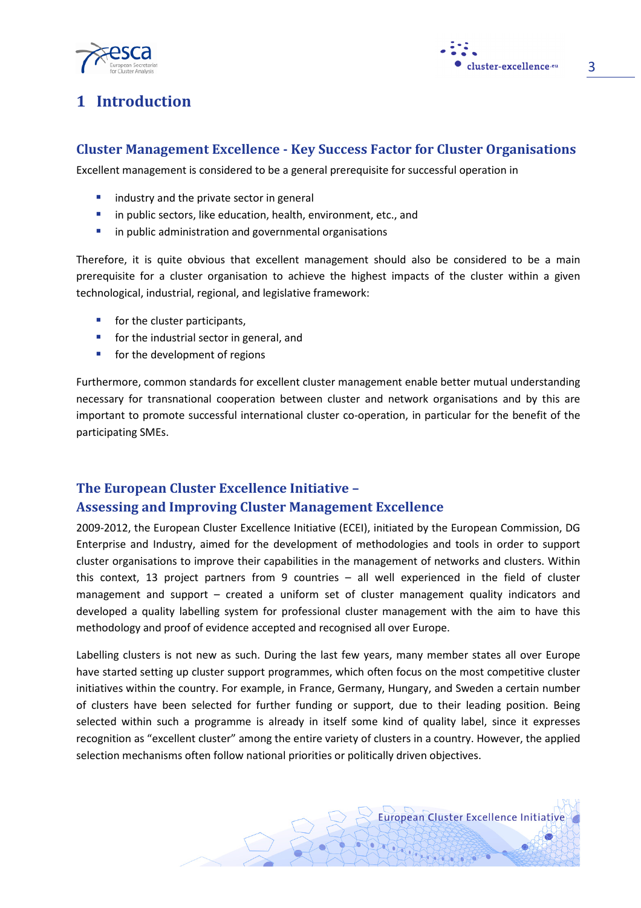



3

## 1 Introduction

## Cluster Management Excellence - Key Success Factor for Cluster Organisations

Excellent management is considered to be a general prerequisite for successful operation in

- $\blacksquare$  industry and the private sector in general
- **I** in public sectors, like education, health, environment, etc., and
- $\blacksquare$  in public administration and governmental organisations

Therefore, it is quite obvious that excellent management should also be considered to be a main prerequisite for a cluster organisation to achieve the highest impacts of the cluster within a given technological, industrial, regional, and legislative framework:

- $\blacksquare$  for the cluster participants,
- **for the industrial sector in general, and**
- **for the development of regions**

Furthermore, common standards for excellent cluster management enable better mutual understanding necessary for transnational cooperation between cluster and network organisations and by this are important to promote successful international cluster co-operation, in particular for the benefit of the participating SMEs.

## The European Cluster Excellence Initiative – Assessing and Improving Cluster Management Excellence

2009-2012, the European Cluster Excellence Initiative (ECEI), initiated by the European Commission, DG Enterprise and Industry, aimed for the development of methodologies and tools in order to support cluster organisations to improve their capabilities in the management of networks and clusters. Within this context, 13 project partners from 9 countries – all well experienced in the field of cluster management and support – created a uniform set of cluster management quality indicators and developed a quality labelling system for professional cluster management with the aim to have this methodology and proof of evidence accepted and recognised all over Europe.

Labelling clusters is not new as such. During the last few years, many member states all over Europe have started setting up cluster support programmes, which often focus on the most competitive cluster initiatives within the country. For example, in France, Germany, Hungary, and Sweden a certain number of clusters have been selected for further funding or support, due to their leading position. Being selected within such a programme is already in itself some kind of quality label, since it expresses recognition as "excellent cluster" among the entire variety of clusters in a country. However, the applied selection mechanisms often follow national priorities or politically driven objectives.

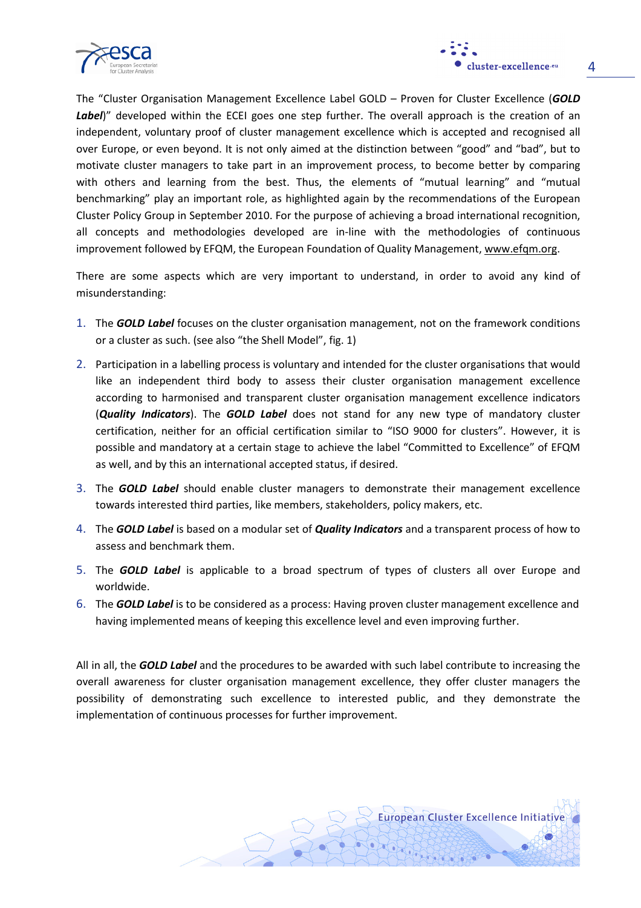



The "Cluster Organisation Management Excellence Label GOLD – Proven for Cluster Excellence (GOLD Label)" developed within the ECEI goes one step further. The overall approach is the creation of an independent, voluntary proof of cluster management excellence which is accepted and recognised all over Europe, or even beyond. It is not only aimed at the distinction between "good" and "bad", but to motivate cluster managers to take part in an improvement process, to become better by comparing with others and learning from the best. Thus, the elements of "mutual learning" and "mutual benchmarking" play an important role, as highlighted again by the recommendations of the European Cluster Policy Group in September 2010. For the purpose of achieving a broad international recognition, all concepts and methodologies developed are in-line with the methodologies of continuous improvement followed by EFQM, the European Foundation of Quality Management, www.efqm.org.

There are some aspects which are very important to understand, in order to avoid any kind of misunderstanding:

- 1. The **GOLD Label** focuses on the cluster organisation management, not on the framework conditions or a cluster as such. (see also "the Shell Model", fig. 1)
- 2. Participation in a labelling process is voluntary and intended for the cluster organisations that would like an independent third body to assess their cluster organisation management excellence according to harmonised and transparent cluster organisation management excellence indicators (**Quality Indicators**). The **GOLD Label** does not stand for any new type of mandatory cluster certification, neither for an official certification similar to "ISO 9000 for clusters". However, it is possible and mandatory at a certain stage to achieve the label "Committed to Excellence" of EFQM as well, and by this an international accepted status, if desired.
- 3. The **GOLD Label** should enable cluster managers to demonstrate their management excellence towards interested third parties, like members, stakeholders, policy makers, etc.
- 4. The **GOLD Label** is based on a modular set of **Quality Indicators** and a transparent process of how to assess and benchmark them.
- 5. The **GOLD Label** is applicable to a broad spectrum of types of clusters all over Europe and worldwide.
- 6. The **GOLD Label** is to be considered as a process: Having proven cluster management excellence and having implemented means of keeping this excellence level and even improving further.

All in all, the **GOLD Label** and the procedures to be awarded with such label contribute to increasing the overall awareness for cluster organisation management excellence, they offer cluster managers the possibility of demonstrating such excellence to interested public, and they demonstrate the implementation of continuous processes for further improvement.

European Cluster Excellence Initiative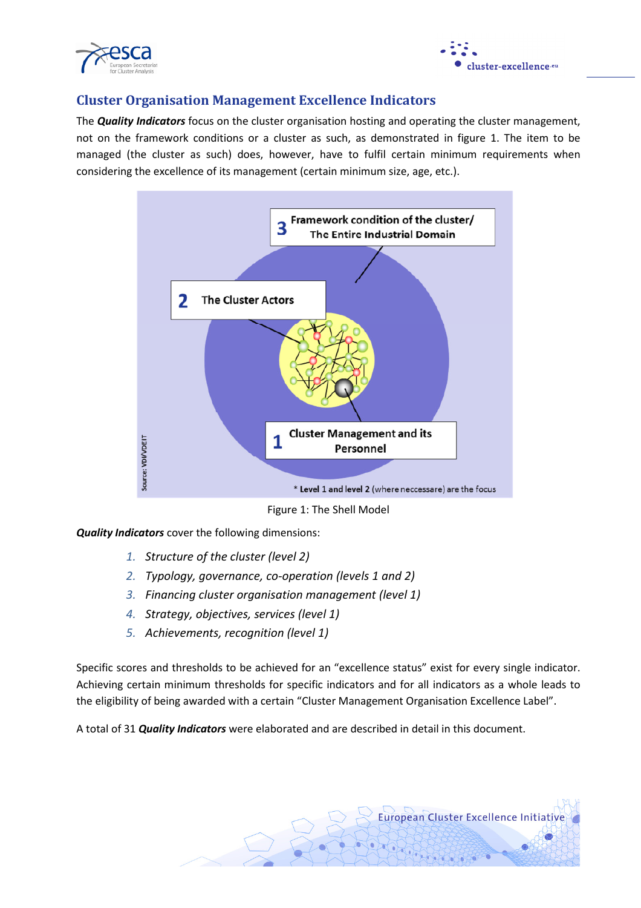



## Cluster Organisation Management Excellence Indicators

The **Quality Indicators** focus on the cluster organisation hosting and operating the cluster management, not on the framework conditions or a cluster as such, as demonstrated in figure 1. The item to be managed (the cluster as such) does, however, have to fulfil certain minimum requirements when considering the excellence of its management (certain minimum size, age, etc.).



Figure 1: The Shell Model

Quality Indicators cover the following dimensions:

- 1. Structure of the cluster (level 2)
- 2. Typology, governance, co-operation (levels 1 and 2)
- 3. Financing cluster organisation management (level 1)
- 4. Strategy, objectives, services (level 1)
- 5. Achievements, recognition (level 1)

Specific scores and thresholds to be achieved for an "excellence status" exist for every single indicator. Achieving certain minimum thresholds for specific indicators and for all indicators as a whole leads to the eligibility of being awarded with a certain "Cluster Management Organisation Excellence Label".

A total of 31 *Quality Indicators* were elaborated and are described in detail in this document.

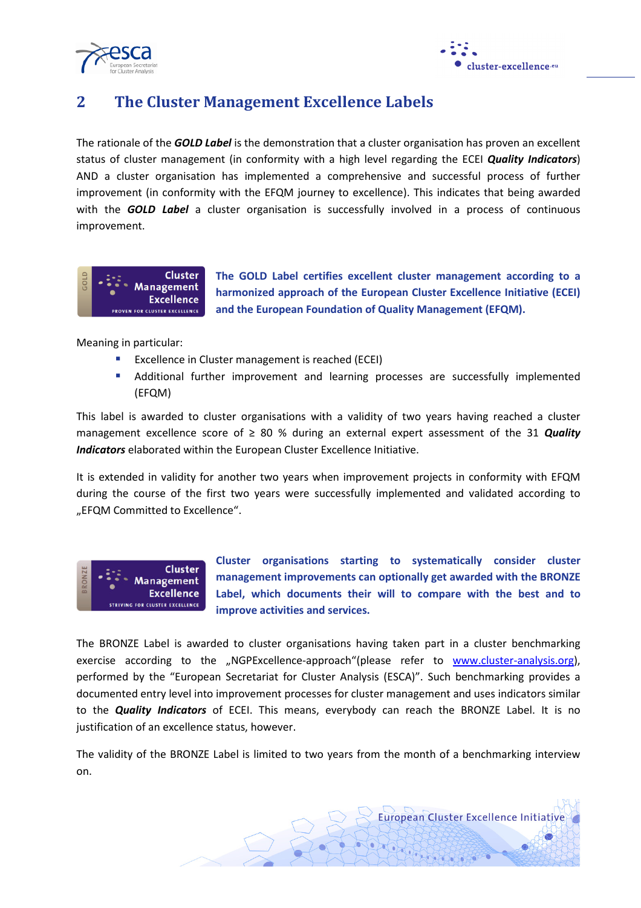



## 2 The Cluster Management Excellence Labels

The rationale of the **GOLD Label** is the demonstration that a cluster organisation has proven an excellent status of cluster management (in conformity with a high level regarding the ECEI Quality Indicators) AND a cluster organisation has implemented a comprehensive and successful process of further improvement (in conformity with the EFQM journey to excellence). This indicates that being awarded with the **GOLD Label** a cluster organisation is successfully involved in a process of continuous improvement.



The GOLD Label certifies excellent cluster management according to a harmonized approach of the European Cluster Excellence Initiative (ECEI) and the European Foundation of Quality Management (EFQM).

Meaning in particular:

- **EXCELLENCE IN CLUSTER MANAGEMENT IS reached (ECEI)**
- Additional further improvement and learning processes are successfully implemented (EFQM)

This label is awarded to cluster organisations with a validity of two years having reached a cluster management excellence score of  $\geq 80$  % during an external expert assessment of the 31 **Quality** Indicators elaborated within the European Cluster Excellence Initiative.

It is extended in validity for another two years when improvement projects in conformity with EFQM during the course of the first two years were successfully implemented and validated according to "EFQM Committed to Excellence".



Cluster organisations starting to systematically consider cluster management improvements can optionally get awarded with the BRONZE Label, which documents their will to compare with the best and to improve activities and services.

**European Cluster Excellence Initiative** 

The BRONZE Label is awarded to cluster organisations having taken part in a cluster benchmarking exercise according to the "NGPExcellence-approach"(please refer to www.cluster-analysis.org), performed by the "European Secretariat for Cluster Analysis (ESCA)". Such benchmarking provides a documented entry level into improvement processes for cluster management and uses indicators similar to the **Quality Indicators** of ECEI. This means, everybody can reach the BRONZE Label. It is no justification of an excellence status, however.

The validity of the BRONZE Label is limited to two years from the month of a benchmarking interview on.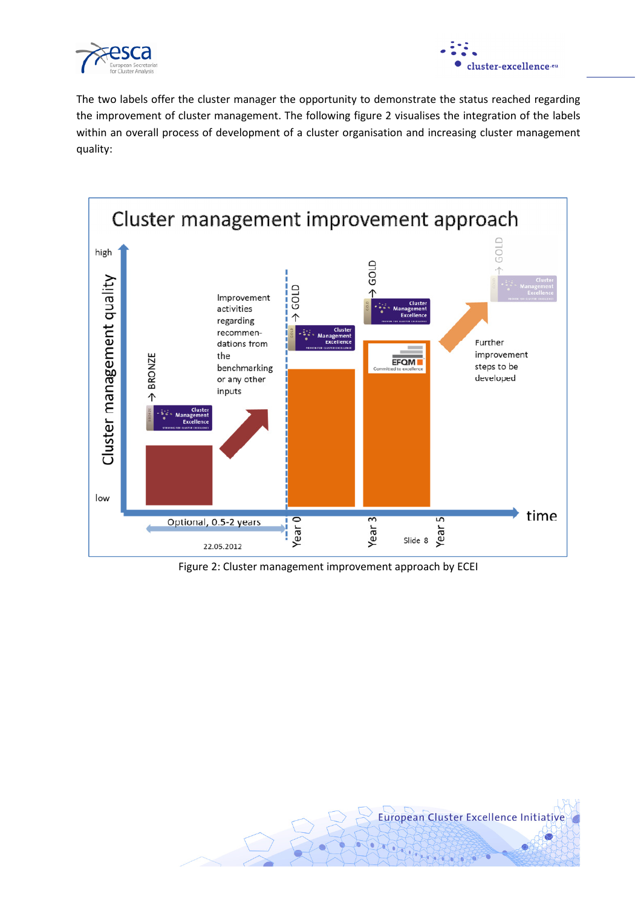



The two labels offer the cluster manager the opportunity to demonstrate the status reached regarding the improvement of cluster management. The following figure 2 visualises the integration of the labels within an overall process of development of a cluster organisation and increasing cluster management quality:



Figure 2: Cluster management improvement approach by ECEI

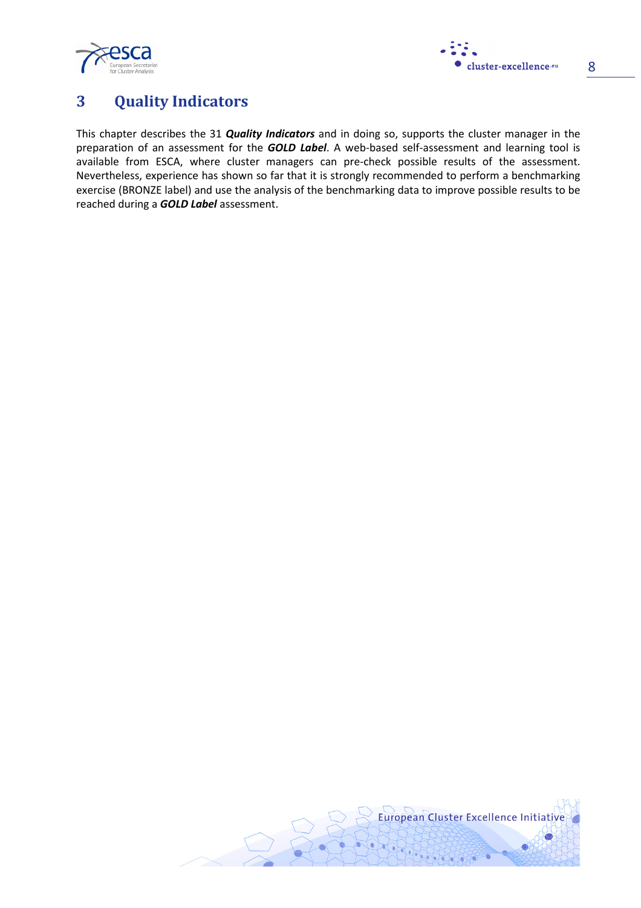



## 3 Quality Indicators

This chapter describes the 31 *Quality Indicators* and in doing so, supports the cluster manager in the preparation of an assessment for the **GOLD Label**. A web-based self-assessment and learning tool is available from ESCA, where cluster managers can pre-check possible results of the assessment. Nevertheless, experience has shown so far that it is strongly recommended to perform a benchmarking exercise (BRONZE label) and use the analysis of the benchmarking data to improve possible results to be reached during a **GOLD Label** assessment.

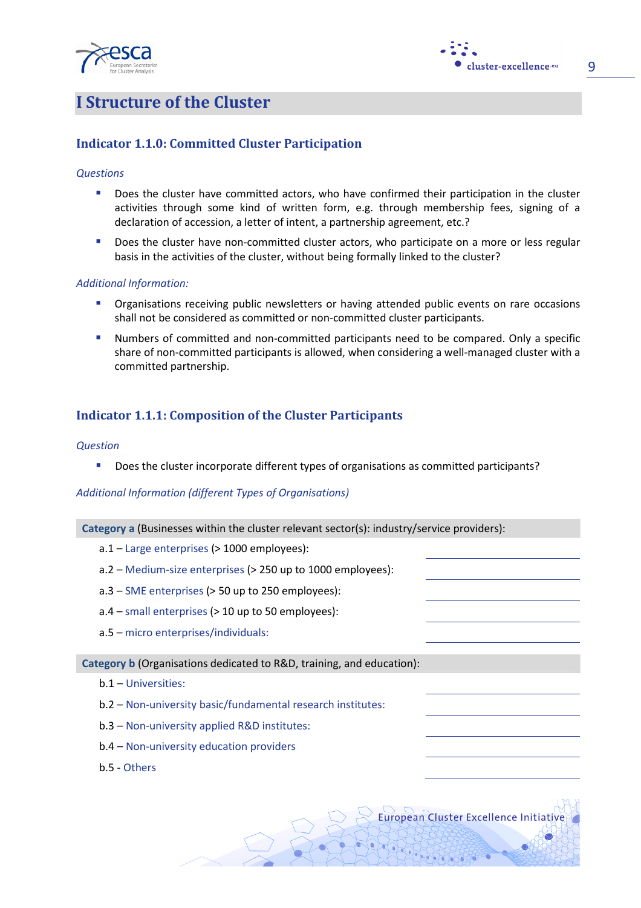



European Cluster Excellence Initiative

9

## I Structure of the Cluster

## Indicator 1.1.0: Committed Cluster Participation

#### **Questions**

- Does the cluster have committed actors, who have confirmed their participation in the cluster activities through some kind of written form, e.g. through membership fees, signing of a declaration of accession, a letter of intent, a partnership agreement, etc.?
- Does the cluster have non-committed cluster actors, who participate on a more or less regular basis in the activities of the cluster, without being formally linked to the cluster?

#### Additional Information:

- **•** Organisations receiving public newsletters or having attended public events on rare occasions shall not be considered as committed or non-committed cluster participants.
- Numbers of committed and non-committed participants need to be compared. Only a specific share of non-committed participants is allowed, when considering a well-managed cluster with a committed partnership.

## Indicator 1.1.1: Composition of the Cluster Participants

#### **Question**

Does the cluster incorporate different types of organisations as committed participants?

#### Additional Information (different Types of Organisations)

Category a (Businesses within the cluster relevant sector(s): industry/service providers):

- a.1 Large enterprises (> 1000 employees):
- a.2 Medium-size enterprises (> 250 up to 1000 employees):
- a.3 SME enterprises (> 50 up to 250 employees):
- $a.4$  small enterprises ( $> 10$  up to 50 employees):
- a.5 micro enterprises/individuals:

#### Category b (Organisations dedicated to R&D, training, and education):

- b.1 Universities:
- b.2 Non-university basic/fundamental research institutes:
- b.3 Non-university applied R&D institutes:
- b.4 Non-university education providers
- b.5 Others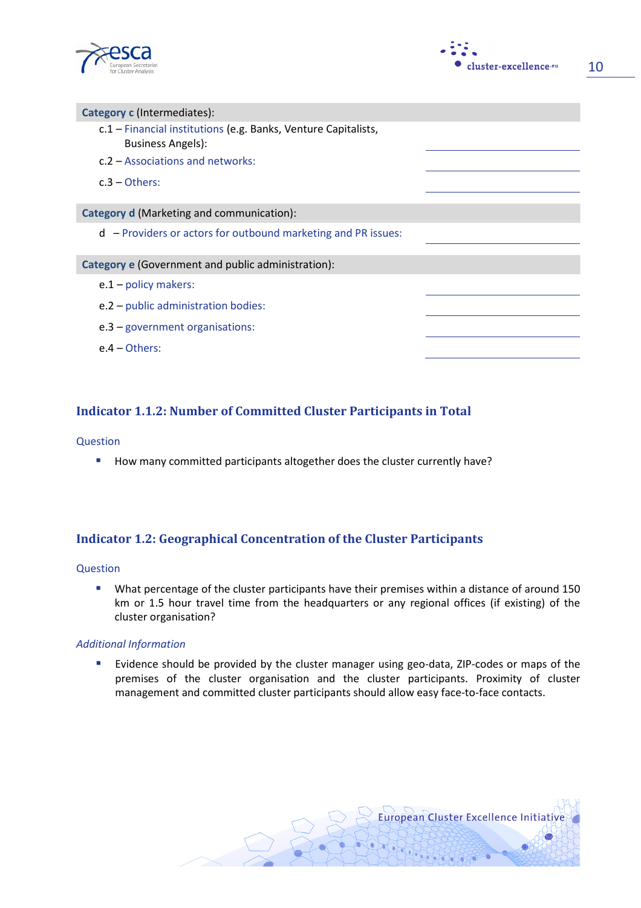



| Category c (Intermediates):                                                                |  |
|--------------------------------------------------------------------------------------------|--|
| c.1 - Financial institutions (e.g. Banks, Venture Capitalists,<br><b>Business Angels):</b> |  |
| c.2 – Associations and networks:                                                           |  |
| $c.3$ – Others:                                                                            |  |
|                                                                                            |  |
| Category d (Marketing and communication):                                                  |  |
| $d$ – Providers or actors for outbound marketing and PR issues:                            |  |
| Category e (Government and public administration):                                         |  |
| $e.1$ – policy makers:                                                                     |  |
| e.2 - public administration bodies:                                                        |  |
| $e.3$ – government organisations:                                                          |  |
| $e.4 - Others$                                                                             |  |

## Indicator 1.1.2: Number of Committed Cluster Participants in Total

#### Question

How many committed participants altogether does the cluster currently have?

## Indicator 1.2: Geographical Concentration of the Cluster Participants

#### Question

 What percentage of the cluster participants have their premises within a distance of around 150 km or 1.5 hour travel time from the headquarters or any regional offices (if existing) of the cluster organisation?

#### Additional Information

**Example 1** Evidence should be provided by the cluster manager using geo-data, ZIP-codes or maps of the premises of the cluster organisation and the cluster participants. Proximity of cluster management and committed cluster participants should allow easy face-to-face contacts.

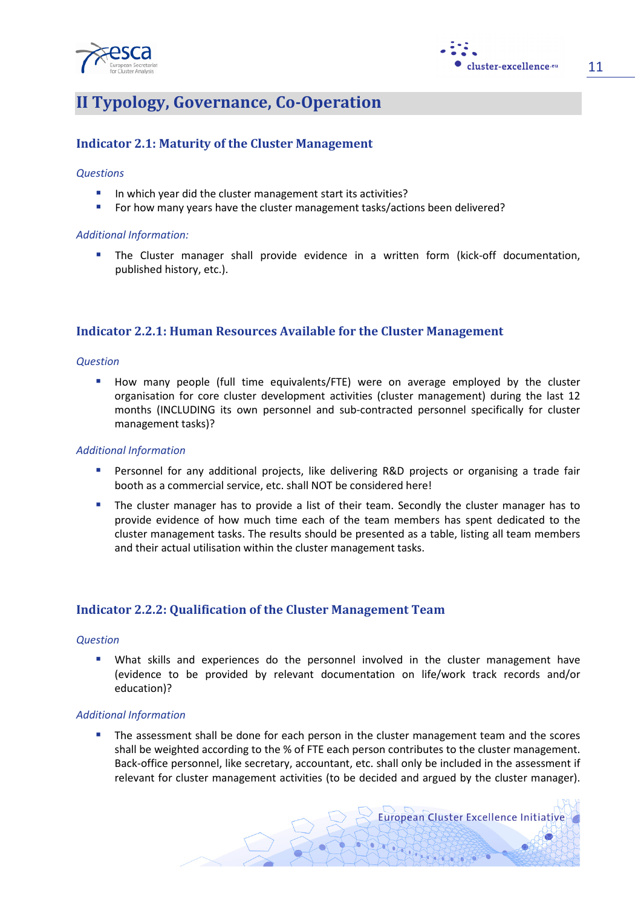



11

## II Typology, Governance, Co-Operation

## Indicator 2.1: Maturity of the Cluster Management

#### **Questions**

- In which year did the cluster management start its activities?
- For how many years have the cluster management tasks/actions been delivered?

#### Additional Information:

 The Cluster manager shall provide evidence in a written form (kick-off documentation, published history, etc.).

### Indicator 2.2.1: Human Resources Available for the Cluster Management

#### **Question**

**How many people (full time equivalents/FTE) were on average employed by the cluster** organisation for core cluster development activities (cluster management) during the last 12 months (INCLUDING its own personnel and sub-contracted personnel specifically for cluster management tasks)?

#### Additional Information

- **Personnel for any additional projects, like delivering R&D projects or organising a trade fair** booth as a commercial service, etc. shall NOT be considered here!
- The cluster manager has to provide a list of their team. Secondly the cluster manager has to provide evidence of how much time each of the team members has spent dedicated to the cluster management tasks. The results should be presented as a table, listing all team members and their actual utilisation within the cluster management tasks.

### Indicator 2.2.2: Qualification of the Cluster Management Team

#### **Question**

 What skills and experiences do the personnel involved in the cluster management have (evidence to be provided by relevant documentation on life/work track records and/or education)?

#### Additional Information

 The assessment shall be done for each person in the cluster management team and the scores shall be weighted according to the % of FTE each person contributes to the cluster management. Back-office personnel, like secretary, accountant, etc. shall only be included in the assessment if relevant for cluster management activities (to be decided and argued by the cluster manager).

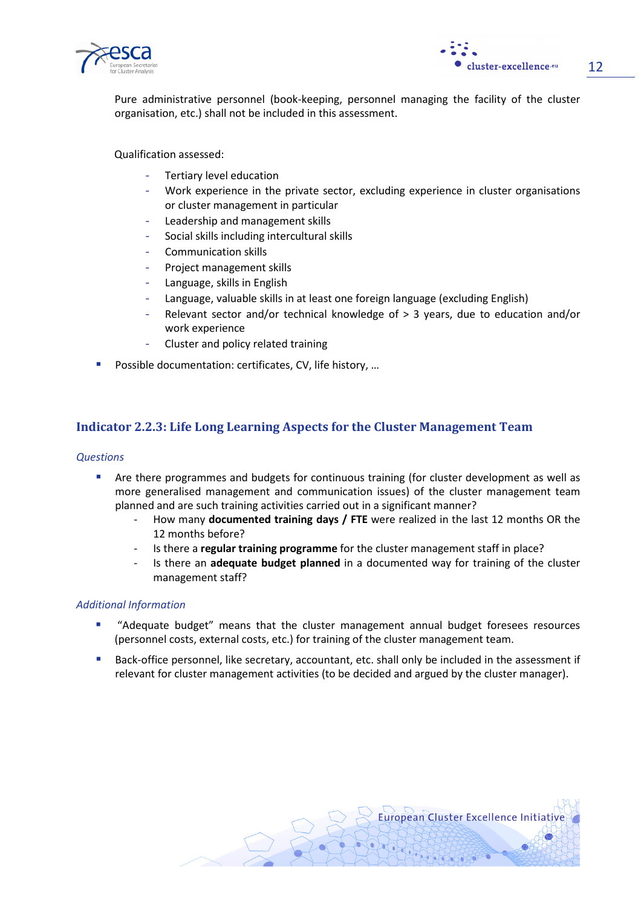



Pure administrative personnel (book-keeping, personnel managing the facility of the cluster organisation, etc.) shall not be included in this assessment.

Qualification assessed:

- Tertiary level education
- Work experience in the private sector, excluding experience in cluster organisations or cluster management in particular
- Leadership and management skills
- Social skills including intercultural skills
- Communication skills
- Project management skills
- Language, skills in English
- Language, valuable skills in at least one foreign language (excluding English)
- Relevant sector and/or technical knowledge of  $> 3$  years, due to education and/or work experience
- Cluster and policy related training
- Possible documentation: certificates, CV, life history, …

## Indicator 2.2.3: Life Long Learning Aspects for the Cluster Management Team

#### **Questions**

- **Are there programmes and budgets for continuous training (for cluster development as well as 4** more generalised management and communication issues) of the cluster management team planned and are such training activities carried out in a significant manner?
	- How many documented training days / FTE were realized in the last 12 months OR the 12 months before?
	- Is there a regular training programme for the cluster management staff in place?
	- Is there an **adequate budget planned** in a documented way for training of the cluster management staff?

#### Additional Information

- **"** "Adequate budget" means that the cluster management annual budget foresees resources (personnel costs, external costs, etc.) for training of the cluster management team.
- **Back-office personnel, like secretary, accountant, etc. shall only be included in the assessment if** relevant for cluster management activities (to be decided and argued by the cluster manager).

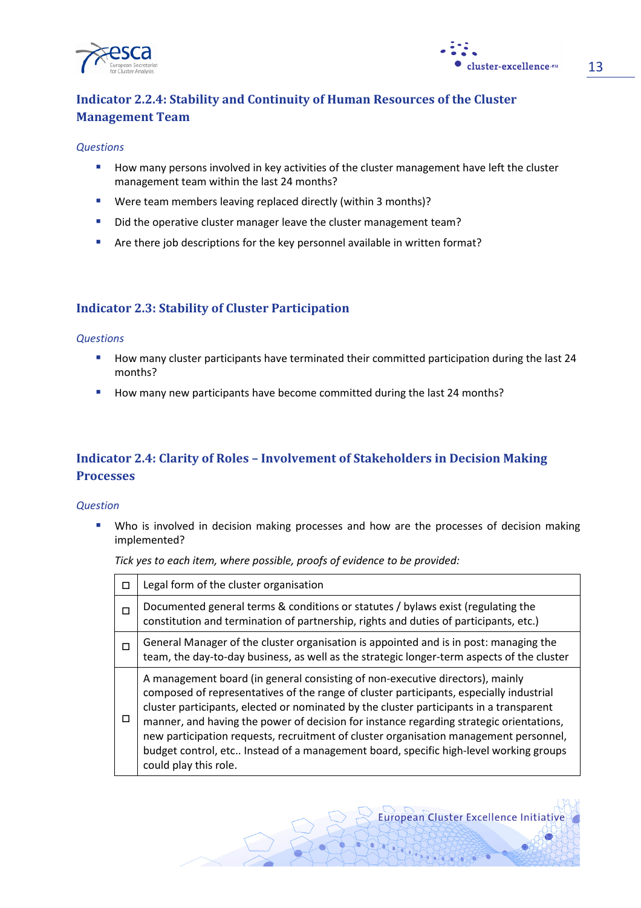



## Indicator 2.2.4: Stability and Continuity of Human Resources of the Cluster Management Team

#### **Questions**

- **How many persons involved in key activities of the cluster management have left the cluster** management team within the last 24 months?
- Were team members leaving replaced directly (within 3 months)?
- Did the operative cluster manager leave the cluster management team?
- Are there job descriptions for the key personnel available in written format?

## Indicator 2.3: Stability of Cluster Participation

#### **Questions**

- How many cluster participants have terminated their committed participation during the last 24 months?
- How many new participants have become committed during the last 24 months?

## Indicator 2.4: Clarity of Roles – Involvement of Stakeholders in Decision Making Processes

#### Question

**Who is involved in decision making processes and how are the processes of decision making** implemented?

Tick yes to each item, where possible, proofs of evidence to be provided:

| п      | Legal form of the cluster organisation                                                                                                                                                                                                                                                                                                                                                                                                                                                                                                                                    |
|--------|---------------------------------------------------------------------------------------------------------------------------------------------------------------------------------------------------------------------------------------------------------------------------------------------------------------------------------------------------------------------------------------------------------------------------------------------------------------------------------------------------------------------------------------------------------------------------|
| п      | Documented general terms & conditions or statutes / bylaws exist (regulating the<br>constitution and termination of partnership, rights and duties of participants, etc.)                                                                                                                                                                                                                                                                                                                                                                                                 |
| $\Box$ | General Manager of the cluster organisation is appointed and is in post: managing the<br>team, the day-to-day business, as well as the strategic longer-term aspects of the cluster                                                                                                                                                                                                                                                                                                                                                                                       |
| П      | A management board (in general consisting of non-executive directors), mainly<br>composed of representatives of the range of cluster participants, especially industrial<br>cluster participants, elected or nominated by the cluster participants in a transparent<br>manner, and having the power of decision for instance regarding strategic orientations,<br>new participation requests, recruitment of cluster organisation management personnel,<br>budget control, etc Instead of a management board, specific high-level working groups<br>could play this role. |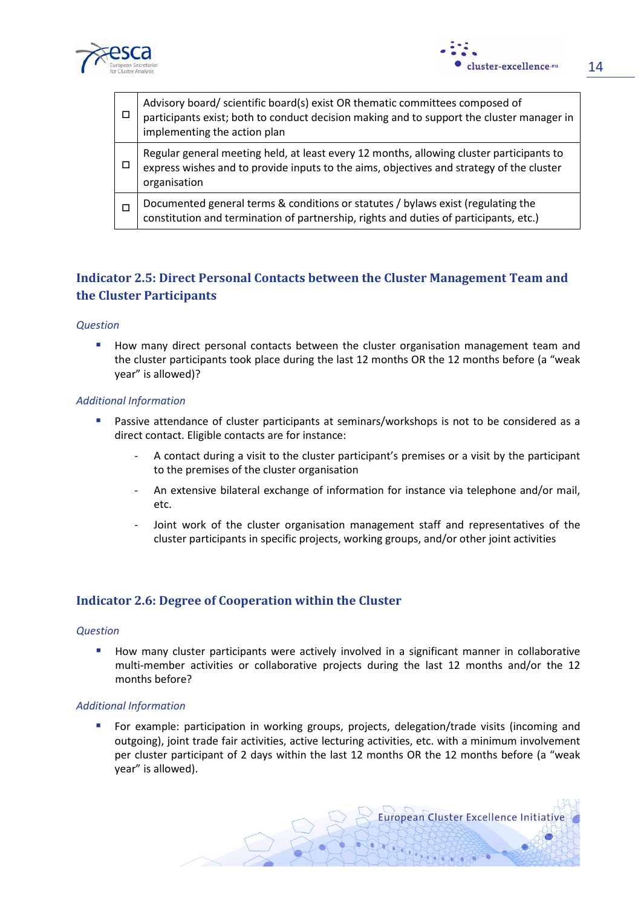



| □ | Advisory board/ scientific board(s) exist OR thematic committees composed of<br>participants exist; both to conduct decision making and to support the cluster manager in<br>implementing the action plan |
|---|-----------------------------------------------------------------------------------------------------------------------------------------------------------------------------------------------------------|
|   | Regular general meeting held, at least every 12 months, allowing cluster participants to<br>express wishes and to provide inputs to the aims, objectives and strategy of the cluster<br>organisation      |
|   | Documented general terms & conditions or statutes / bylaws exist (regulating the constitution and termination of partnership, rights and duties of participants, etc.)                                    |

## Indicator 2.5: Direct Personal Contacts between the Cluster Management Team and the Cluster Participants

#### **Question**

**How many direct personal contacts between the cluster organisation management team and** the cluster participants took place during the last 12 months OR the 12 months before (a "weak year" is allowed)?

#### Additional Information

- **Passive attendance of cluster participants at seminars/workshops is not to be considered as a** direct contact. Eligible contacts are for instance:
	- A contact during a visit to the cluster participant's premises or a visit by the participant to the premises of the cluster organisation
	- An extensive bilateral exchange of information for instance via telephone and/or mail, etc.
	- Joint work of the cluster organisation management staff and representatives of the cluster participants in specific projects, working groups, and/or other joint activities

### Indicator 2.6: Degree of Cooperation within the Cluster

#### **Ouestion**

How many cluster participants were actively involved in a significant manner in collaborative multi-member activities or collaborative projects during the last 12 months and/or the 12 months before?

#### Additional Information

 For example: participation in working groups, projects, delegation/trade visits (incoming and outgoing), joint trade fair activities, active lecturing activities, etc. with a minimum involvement per cluster participant of 2 days within the last 12 months OR the 12 months before (a "weak year" is allowed).

**European Cluster Excellence Initiative**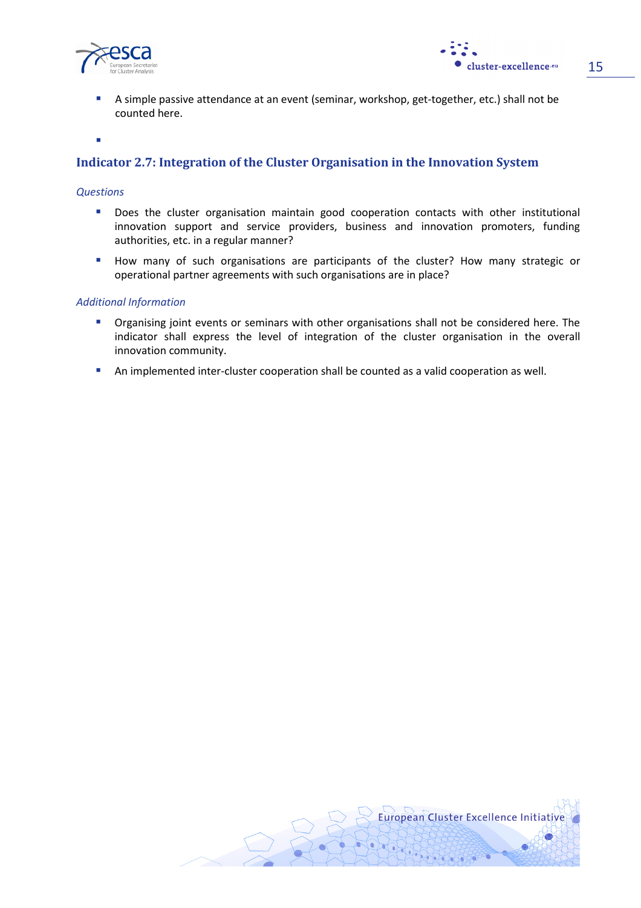



 A simple passive attendance at an event (seminar, workshop, get-together, etc.) shall not be counted here.

i.

## Indicator 2.7: Integration of the Cluster Organisation in the Innovation System

#### **Questions**

- **Does the cluster organisation maintain good cooperation contacts with other institutional** innovation support and service providers, business and innovation promoters, funding authorities, etc. in a regular manner?
- How many of such organisations are participants of the cluster? How many strategic or operational partner agreements with such organisations are in place?

#### Additional Information

- **P** Organising joint events or seminars with other organisations shall not be considered here. The indicator shall express the level of integration of the cluster organisation in the overall innovation community.
- An implemented inter-cluster cooperation shall be counted as a valid cooperation as well.

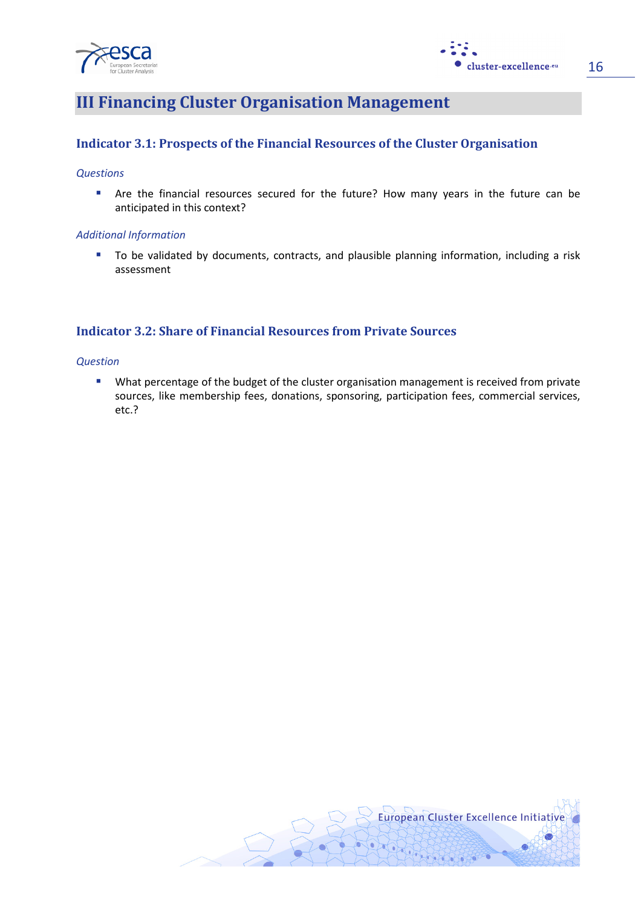



## III Financing Cluster Organisation Management

## Indicator 3.1: Prospects of the Financial Resources of the Cluster Organisation

#### **Questions**

 Are the financial resources secured for the future? How many years in the future can be anticipated in this context?

#### Additional Information

To be validated by documents, contracts, and plausible planning information, including a risk assessment

## Indicator 3.2: Share of Financial Resources from Private Sources

#### **Question**

**What percentage of the budget of the cluster organisation management is received from private** sources, like membership fees, donations, sponsoring, participation fees, commercial services, etc.?

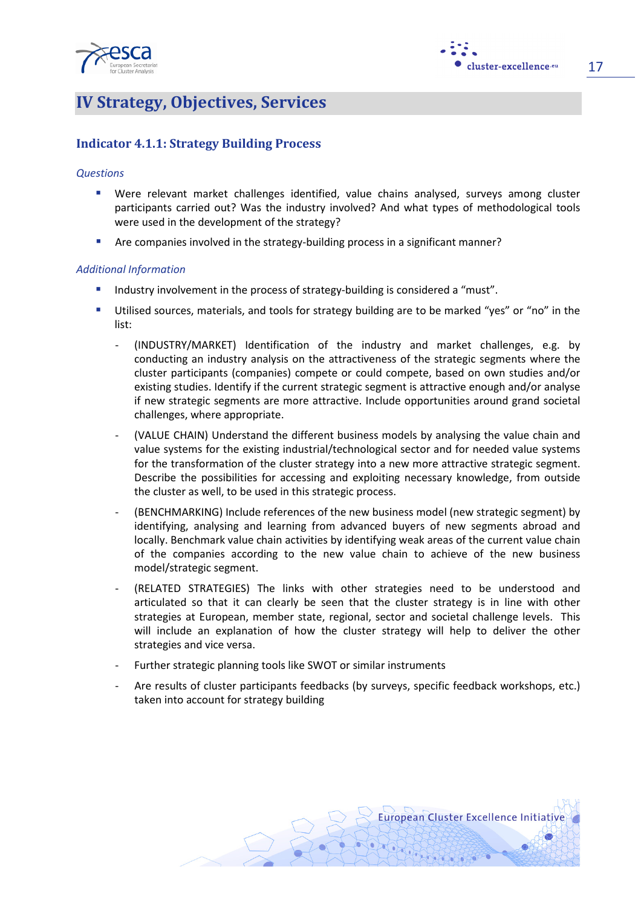



17

## IV Strategy, Objectives, Services

## Indicator 4.1.1: Strategy Building Process

#### **Questions**

- Were relevant market challenges identified, value chains analysed, surveys among cluster participants carried out? Was the industry involved? And what types of methodological tools were used in the development of the strategy?
- Are companies involved in the strategy-building process in a significant manner?

#### Additional Information

- Industry involvement in the process of strategy-building is considered a "must".
- Utilised sources, materials, and tools for strategy building are to be marked "yes" or "no" in the list:
	- (INDUSTRY/MARKET) Identification of the industry and market challenges, e.g. by conducting an industry analysis on the attractiveness of the strategic segments where the cluster participants (companies) compete or could compete, based on own studies and/or existing studies. Identify if the current strategic segment is attractive enough and/or analyse if new strategic segments are more attractive. Include opportunities around grand societal challenges, where appropriate.
	- (VALUE CHAIN) Understand the different business models by analysing the value chain and value systems for the existing industrial/technological sector and for needed value systems for the transformation of the cluster strategy into a new more attractive strategic segment. Describe the possibilities for accessing and exploiting necessary knowledge, from outside the cluster as well, to be used in this strategic process.
	- (BENCHMARKING) Include references of the new business model (new strategic segment) by identifying, analysing and learning from advanced buyers of new segments abroad and locally. Benchmark value chain activities by identifying weak areas of the current value chain of the companies according to the new value chain to achieve of the new business model/strategic segment.
	- (RELATED STRATEGIES) The links with other strategies need to be understood and articulated so that it can clearly be seen that the cluster strategy is in line with other strategies at European, member state, regional, sector and societal challenge levels. This will include an explanation of how the cluster strategy will help to deliver the other strategies and vice versa.
	- Further strategic planning tools like SWOT or similar instruments
	- Are results of cluster participants feedbacks (by surveys, specific feedback workshops, etc.) taken into account for strategy building

**European Cluster Excellence Initiative**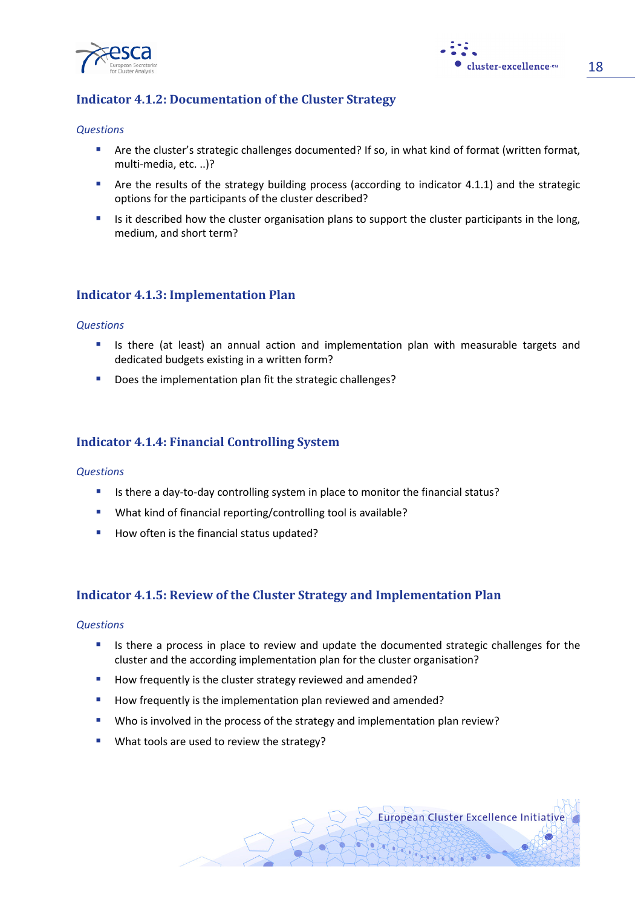



### Indicator 4.1.2: Documentation of the Cluster Strategy

#### **Questions**

- Are the cluster's strategic challenges documented? If so, in what kind of format (written format, multi-media, etc. ..)?
- Are the results of the strategy building process (according to indicator 4.1.1) and the strategic options for the participants of the cluster described?
- Is it described how the cluster organisation plans to support the cluster participants in the long, medium, and short term?

#### Indicator 4.1.3: Implementation Plan

#### **Questions**

- Intimum Is there (at least) an annual action and implementation plan with measurable targets and dedicated budgets existing in a written form?
- Does the implementation plan fit the strategic challenges?

#### Indicator 4.1.4: Financial Controlling System

#### **Questions**

- Is there a day-to-day controlling system in place to monitor the financial status?
- What kind of financial reporting/controlling tool is available?
- How often is the financial status updated?

#### Indicator 4.1.5: Review of the Cluster Strategy and Implementation Plan

#### **Questions**

- **If** Is there a process in place to review and update the documented strategic challenges for the cluster and the according implementation plan for the cluster organisation?
- How frequently is the cluster strategy reviewed and amended?
- How frequently is the implementation plan reviewed and amended?
- Who is involved in the process of the strategy and implementation plan review?
- What tools are used to review the strategy?

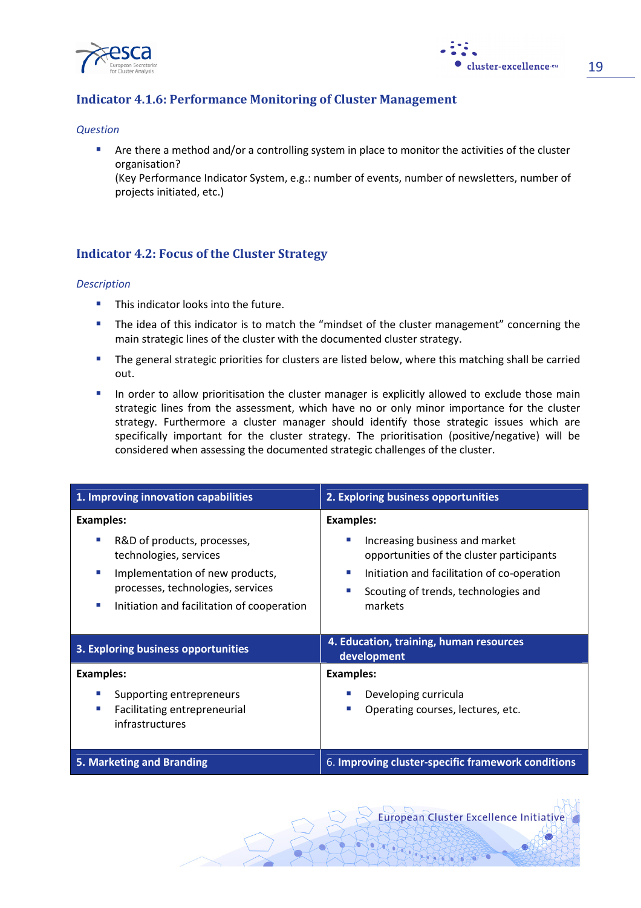



## Indicator 4.1.6: Performance Monitoring of Cluster Management

#### **Question**

**Are there a method and/or a controlling system in place to monitor the activities of the cluster** organisation?

(Key Performance Indicator System, e.g.: number of events, number of newsletters, number of projects initiated, etc.)

## Indicator 4.2: Focus of the Cluster Strategy

#### **Description**

- **This indicator looks into the future.**
- The idea of this indicator is to match the "mindset of the cluster management" concerning the main strategic lines of the cluster with the documented cluster strategy.
- **The general strategic priorities for clusters are listed below, where this matching shall be carried** out.
- In order to allow prioritisation the cluster manager is explicitly allowed to exclude those main strategic lines from the assessment, which have no or only minor importance for the cluster strategy. Furthermore a cluster manager should identify those strategic issues which are specifically important for the cluster strategy. The prioritisation (positive/negative) will be considered when assessing the documented strategic challenges of the cluster.

| 1. Improving innovation capabilities                                                                                                                                                                  | 2. Exploring business opportunities                                                                                                                                                                          |  |  |  |  |  |
|-------------------------------------------------------------------------------------------------------------------------------------------------------------------------------------------------------|--------------------------------------------------------------------------------------------------------------------------------------------------------------------------------------------------------------|--|--|--|--|--|
| <b>Examples:</b><br>R&D of products, processes,<br>technologies, services<br>Implementation of new products,<br>processes, technologies, services<br>Initiation and facilitation of cooperation<br>m. | <b>Examples:</b><br>Increasing business and market<br>opportunities of the cluster participants<br>Initiation and facilitation of co-operation<br>×.<br>Scouting of trends, technologies and<br>٠<br>markets |  |  |  |  |  |
|                                                                                                                                                                                                       | 4. Education, training, human resources<br>development                                                                                                                                                       |  |  |  |  |  |
| 3. Exploring business opportunities                                                                                                                                                                   |                                                                                                                                                                                                              |  |  |  |  |  |
| <b>Examples:</b><br>Supporting entrepreneurs<br>Facilitating entrepreneurial<br>infrastructures                                                                                                       | <b>Examples:</b><br>Developing curricula<br>Operating courses, lectures, etc.<br>П                                                                                                                           |  |  |  |  |  |

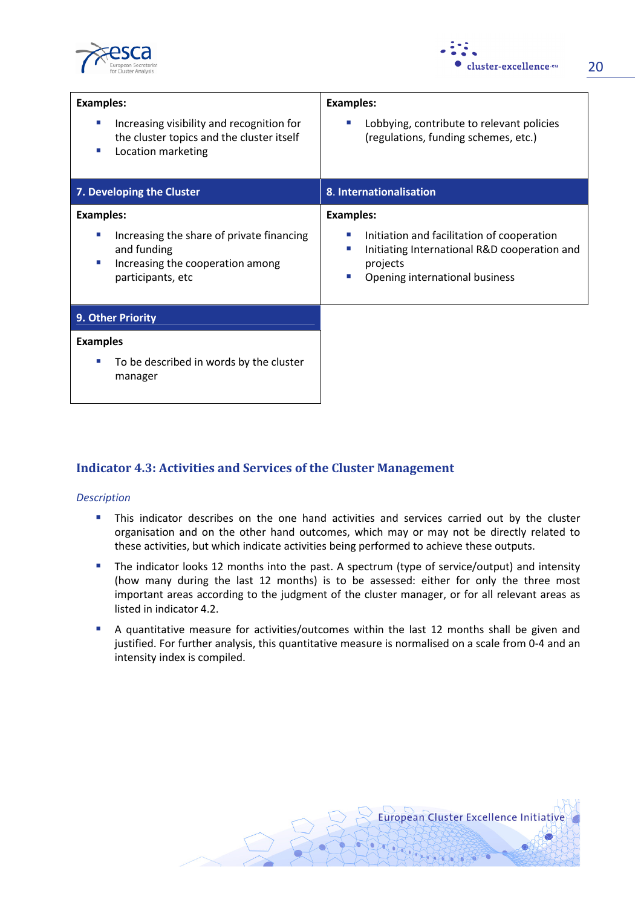



| <b>Examples:</b>                                                                                                       | <b>Examples:</b>                                                                                                                                     |  |  |  |
|------------------------------------------------------------------------------------------------------------------------|------------------------------------------------------------------------------------------------------------------------------------------------------|--|--|--|
| Increasing visibility and recognition for<br>×<br>the cluster topics and the cluster itself<br>Location marketing<br>ш | Lobbying, contribute to relevant policies<br>L.<br>(regulations, funding schemes, etc.)                                                              |  |  |  |
| 7. Developing the Cluster                                                                                              | 8. Internationalisation                                                                                                                              |  |  |  |
| <b>Examples:</b>                                                                                                       | <b>Examples:</b>                                                                                                                                     |  |  |  |
| Increasing the share of private financing<br>and funding<br>Increasing the cooperation among<br>×<br>participants, etc | Initiation and facilitation of cooperation<br>Initiating International R&D cooperation and<br>П<br>projects<br>Opening international business<br>a a |  |  |  |
| 9. Other Priority                                                                                                      |                                                                                                                                                      |  |  |  |
| <b>Examples</b>                                                                                                        |                                                                                                                                                      |  |  |  |
| To be described in words by the cluster<br>ш<br>manager                                                                |                                                                                                                                                      |  |  |  |

## Indicator 4.3: Activities and Services of the Cluster Management

#### Description

- **This indicator describes on the one hand activities and services carried out by the cluster** organisation and on the other hand outcomes, which may or may not be directly related to these activities, but which indicate activities being performed to achieve these outputs.
- **The indicator looks 12 months into the past. A spectrum (type of service/output) and intensity** (how many during the last 12 months) is to be assessed: either for only the three most important areas according to the judgment of the cluster manager, or for all relevant areas as listed in indicator 4.2.
- A quantitative measure for activities/outcomes within the last 12 months shall be given and justified. For further analysis, this quantitative measure is normalised on a scale from 0-4 and an intensity index is compiled.

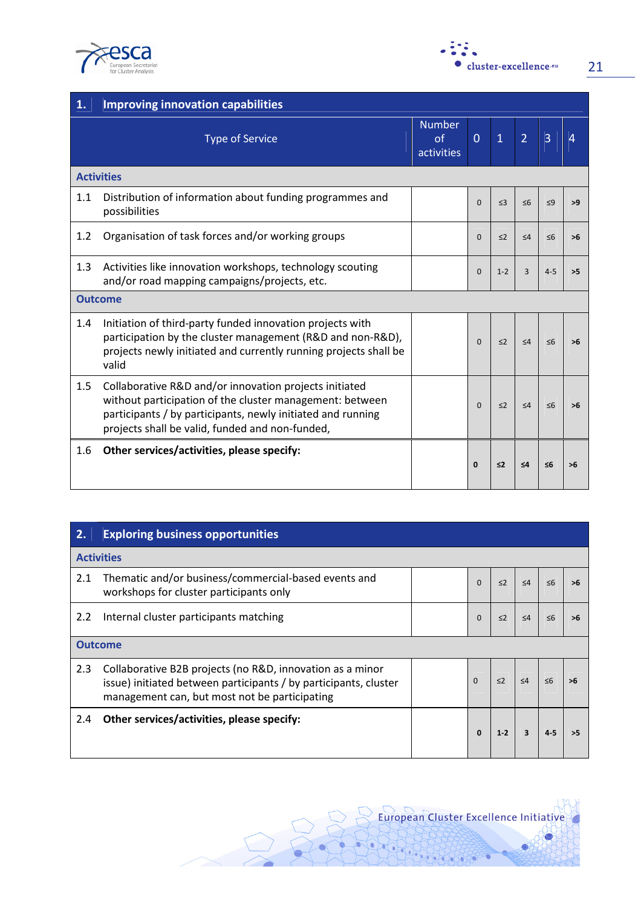

| .                       |
|-------------------------|
| • cluster-excellence.eu |

| $\vert$ 1. | <b>Improving innovation capabilities</b>                                                                                                                                                                                             |                                   |                |                |                |                |                |  |
|------------|--------------------------------------------------------------------------------------------------------------------------------------------------------------------------------------------------------------------------------------|-----------------------------------|----------------|----------------|----------------|----------------|----------------|--|
|            | <b>Type of Service</b>                                                                                                                                                                                                               | <b>Number</b><br>of<br>activities | $\overline{0}$ | $\overline{1}$ | $\overline{2}$ | $\overline{3}$ | $\overline{4}$ |  |
|            | <b>Activities</b>                                                                                                                                                                                                                    |                                   |                |                |                |                |                |  |
| 1.1        | Distribution of information about funding programmes and<br>possibilities                                                                                                                                                            |                                   | $\Omega$       | $\leq$ 3       | $\leq 6$       | $\leq 9$       | >9             |  |
| 1.2        | Organisation of task forces and/or working groups                                                                                                                                                                                    |                                   | $\Omega$       | $\leq$ 2       | $\leq 4$       | $\leq 6$       | >6             |  |
| 1.3        | Activities like innovation workshops, technology scouting<br>and/or road mapping campaigns/projects, etc.                                                                                                                            |                                   | $\Omega$       | $1 - 2$        | $\mathbf{a}$   | $4 - 5$        | >5             |  |
|            | <b>Outcome</b>                                                                                                                                                                                                                       |                                   |                |                |                |                |                |  |
| 1.4        | Initiation of third-party funded innovation projects with<br>participation by the cluster management (R&D and non-R&D),<br>projects newly initiated and currently running projects shall be<br>valid                                 |                                   | $\Omega$       | $\leq$ 2       | $\leq 4$       | $\leq 6$       | >6             |  |
| 1.5        | Collaborative R&D and/or innovation projects initiated<br>without participation of the cluster management: between<br>participants / by participants, newly initiated and running<br>projects shall be valid, funded and non-funded, |                                   | $\Omega$       | $\leq$ 2       | $\leq 4$       | $\leq 6$       | >6             |  |
| 1.6        | Other services/activities, please specify:                                                                                                                                                                                           |                                   | $\mathbf{0}$   | $\leq$         | $\leq 4$       | ≤6             | >6             |  |

| 2.               | <b>Exploring business opportunities</b>                                                                                                                                        |              |          |          |          |    |  |  |  |
|------------------|--------------------------------------------------------------------------------------------------------------------------------------------------------------------------------|--------------|----------|----------|----------|----|--|--|--|
|                  | <b>Activities</b>                                                                                                                                                              |              |          |          |          |    |  |  |  |
| 2.1              | Thematic and/or business/commercial-based events and<br>workshops for cluster participants only                                                                                | $\Omega$     | $\leq$ 2 | $\leq 4$ | $\leq 6$ | >6 |  |  |  |
| 2.2              | Internal cluster participants matching                                                                                                                                         | $\Omega$     | $\leq$ 2 | $\leq 4$ | $\leq 6$ |    |  |  |  |
|                  | <b>Outcome</b>                                                                                                                                                                 |              |          |          |          |    |  |  |  |
| $2.3\phantom{0}$ | Collaborative B2B projects (no R&D, innovation as a minor<br>issue) initiated between participants / by participants, cluster<br>management can, but most not be participating | $\mathbf{0}$ | $\leq$ 2 | $\leq 4$ | $\leq 6$ |    |  |  |  |
| 2.4              | Other services/activities, please specify:                                                                                                                                     |              | $1-2$    |          |          |    |  |  |  |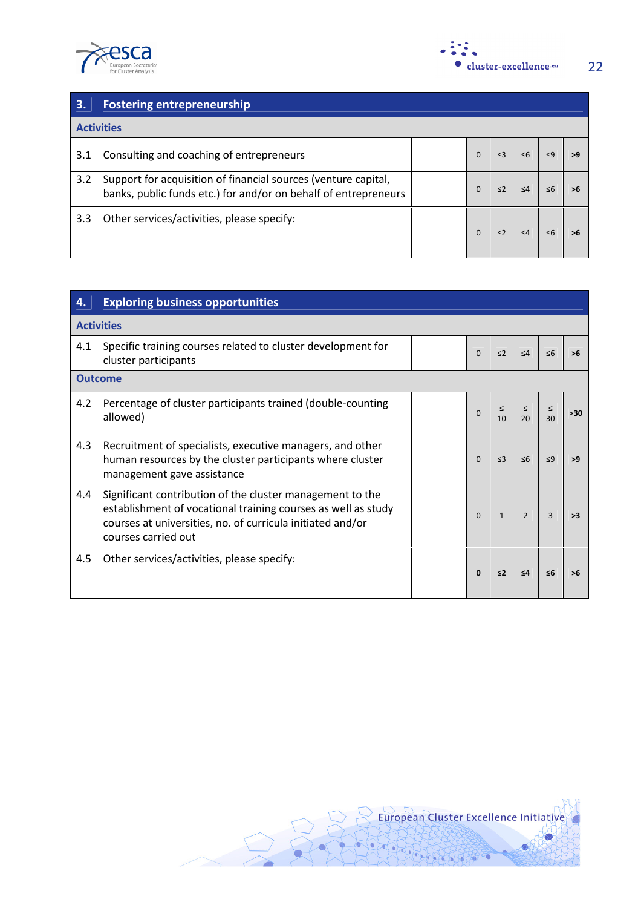



| $\vert$ 3. | <b>Fostering entrepreneurship</b>                                                                                                 |  |          |          |          |  |  |  |
|------------|-----------------------------------------------------------------------------------------------------------------------------------|--|----------|----------|----------|--|--|--|
|            | <b>Activities</b>                                                                                                                 |  |          |          |          |  |  |  |
| 3.1        | Consulting and coaching of entrepreneurs                                                                                          |  | $\Omega$ | $\leq$ 3 | $\leq 6$ |  |  |  |
| 3.2        | Support for acquisition of financial sources (venture capital,<br>banks, public funds etc.) for and/or on behalf of entrepreneurs |  | $\Omega$ | $\leq$ 2 | $\leq 4$ |  |  |  |
| 3.3        | Other services/activities, please specify:                                                                                        |  |          | $\leq$ 2 | $\leq 4$ |  |  |  |

| 4.  | <b>Exploring business opportunities</b>                                                                                                                                                                         |  |          |              |                |              |       |  |  |
|-----|-----------------------------------------------------------------------------------------------------------------------------------------------------------------------------------------------------------------|--|----------|--------------|----------------|--------------|-------|--|--|
|     | <b>Activities</b>                                                                                                                                                                                               |  |          |              |                |              |       |  |  |
| 4.1 | Specific training courses related to cluster development for<br>cluster participants                                                                                                                            |  | $\Omega$ | $\leq$ 2     | $\leq 4$       | < 6          | >6    |  |  |
|     | <b>Outcome</b>                                                                                                                                                                                                  |  |          |              |                |              |       |  |  |
| 4.2 | Percentage of cluster participants trained (double-counting<br>allowed)                                                                                                                                         |  | $\Omega$ | $\leq$<br>10 | $\leq$<br>20   | $\leq$<br>30 | $>30$ |  |  |
| 4.3 | Recruitment of specialists, executive managers, and other<br>human resources by the cluster participants where cluster<br>management gave assistance                                                            |  | $\Omega$ | $\leq$ 3     | $\leq 6$       | $\leq$ 9     | >9    |  |  |
| 4.4 | Significant contribution of the cluster management to the<br>establishment of vocational training courses as well as study<br>courses at universities, no. of curricula initiated and/or<br>courses carried out |  | $\Omega$ | $\mathbf{1}$ | $\overline{2}$ | $\mathbf{a}$ | >3    |  |  |
| 4.5 | Other services/activities, please specify:                                                                                                                                                                      |  | 0        | $\leq$ 2     | $\leq 4$       | ה>           | >6    |  |  |

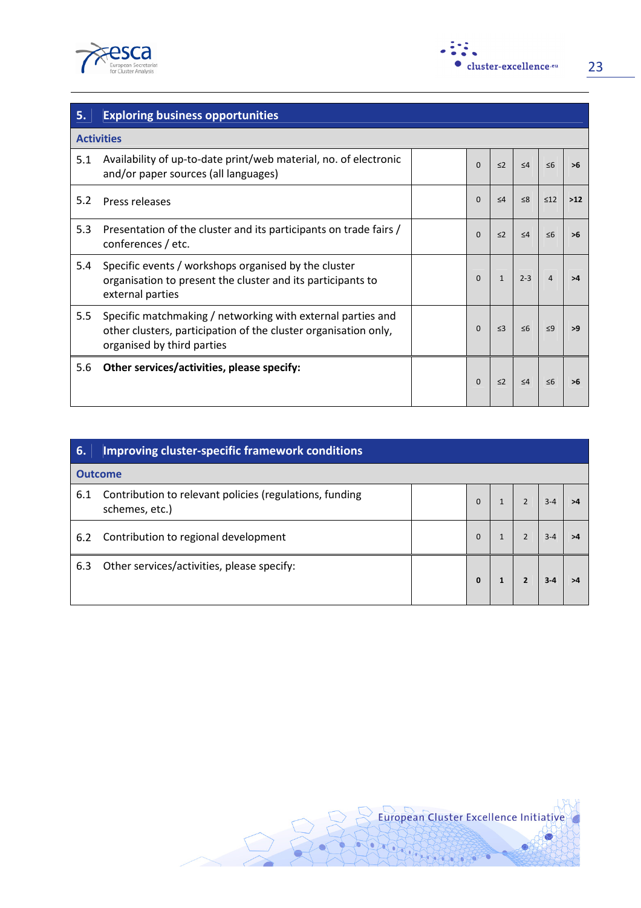



| 5.  | <b>Exploring business opportunities</b>                                                                                                                      |  |          |              |          |           |       |  |
|-----|--------------------------------------------------------------------------------------------------------------------------------------------------------------|--|----------|--------------|----------|-----------|-------|--|
|     | <b>Activities</b>                                                                                                                                            |  |          |              |          |           |       |  |
| 5.1 | Availability of up-to-date print/web material, no. of electronic<br>and/or paper sources (all languages)                                                     |  | $\Omega$ | $\leq$ 2     | $\leq 4$ | $\leq 6$  | >6    |  |
| 5.2 | Press releases                                                                                                                                               |  | $\Omega$ | $\leq 4$     | $\leq 8$ | $\leq 12$ | $>12$ |  |
| 5.3 | Presentation of the cluster and its participants on trade fairs /<br>conferences / etc.                                                                      |  | $\Omega$ | $\leq$ 2     | $\leq 4$ | $\leq 6$  | >6    |  |
| 5.4 | Specific events / workshops organised by the cluster<br>organisation to present the cluster and its participants to<br>external parties                      |  | $\Omega$ | $\mathbf{1}$ | $2 - 3$  | 4         | >4    |  |
| 5.5 | Specific matchmaking / networking with external parties and<br>other clusters, participation of the cluster organisation only,<br>organised by third parties |  | $\Omega$ | $\leq$ 3     | $\leq 6$ | $<$ 9     | >9    |  |
| 5.6 | Other services/activities, please specify:                                                                                                                   |  | $\Omega$ | $\leq$ 2     | $\leq 4$ | $\leq 6$  | >6    |  |

| 6.  | Improving cluster-specific framework conditions                           |  |             |  |  |  |    |
|-----|---------------------------------------------------------------------------|--|-------------|--|--|--|----|
|     | <b>Outcome</b>                                                            |  |             |  |  |  |    |
| 6.1 | Contribution to relevant policies (regulations, funding<br>schemes, etc.) |  | $\Omega$    |  |  |  | >4 |
| 6.2 | Contribution to regional development                                      |  | $\Omega$    |  |  |  |    |
| 6.3 | Other services/activities, please specify:                                |  | $\mathbf 0$ |  |  |  |    |

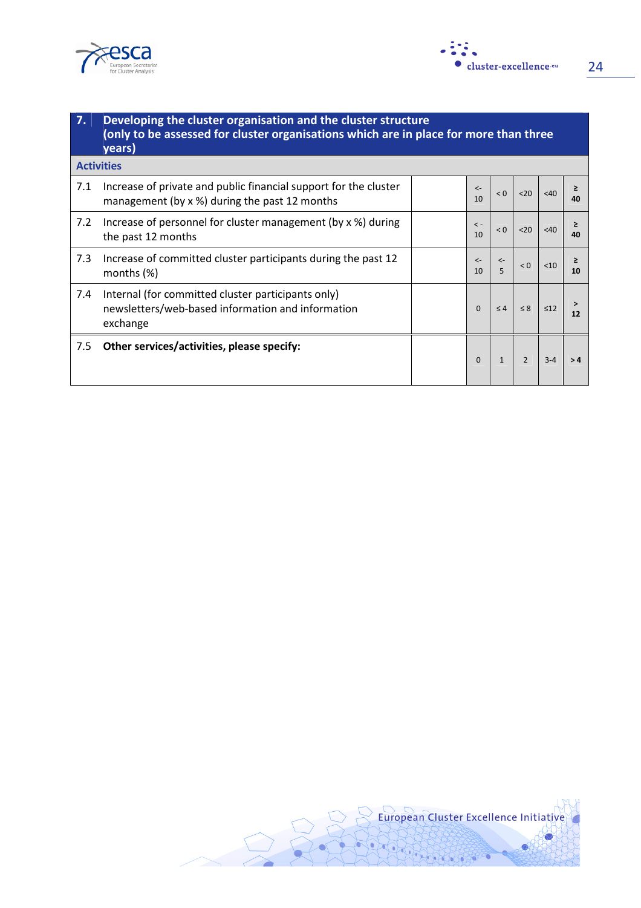



| <b>7.</b> | Developing the cluster organisation and the cluster structure<br>(only to be assessed for cluster organisations which are in place for more than three<br>years) |  |                    |                   |               |           |     |
|-----------|------------------------------------------------------------------------------------------------------------------------------------------------------------------|--|--------------------|-------------------|---------------|-----------|-----|
|           | <b>Activities</b>                                                                                                                                                |  |                    |                   |               |           |     |
| 7.1       | Increase of private and public financial support for the cluster<br>management (by x %) during the past 12 months                                                |  | $\leftarrow$<br>10 | < 0               | $20$          | < 40      | 40  |
| 7.2       | Increase of personnel for cluster management (by x %) during<br>the past 12 months                                                                               |  | $\prec$ -<br>10    | < 0               | $20$          | <40       | 40  |
| 7.3       | Increase of committed cluster participants during the past 12<br>months $(\%)$                                                                                   |  | $\leftarrow$<br>10 | $\leftarrow$<br>5 | < 0           | < 10      | 10  |
| 7.4       | Internal (for committed cluster participants only)<br>newsletters/web-based information and information<br>exchange                                              |  | $\Omega$           | $\leq 4$          | $\leq 8$      | $\leq 12$ | 12  |
| 7.5       | Other services/activities, please specify:                                                                                                                       |  | $\Omega$           | $\mathbf{1}$      | $\mathcal{P}$ | $3 - 4$   | > 4 |

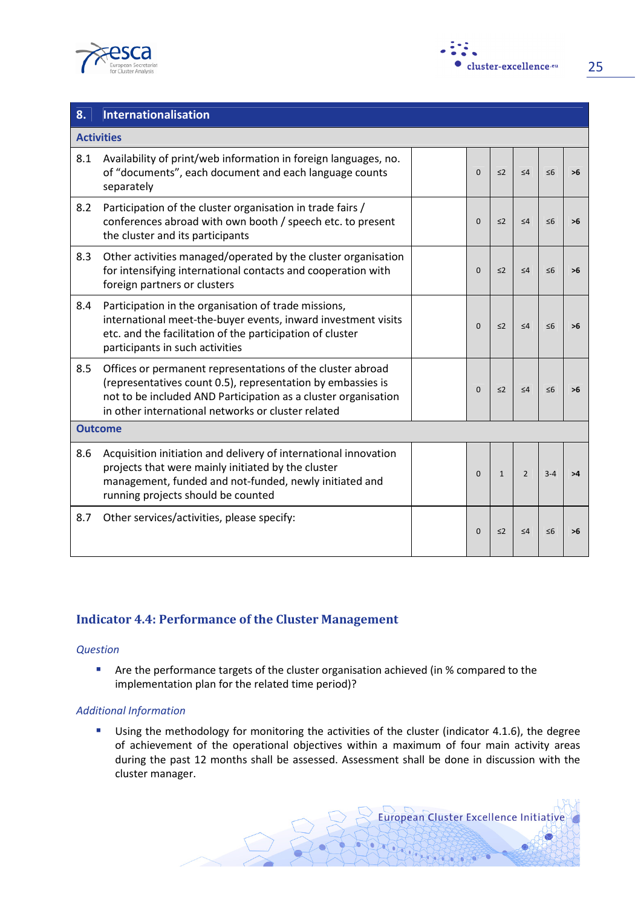



| 8.                | Internationalisation                                                                                                                                                                                                                              |              |              |                |          |    |
|-------------------|---------------------------------------------------------------------------------------------------------------------------------------------------------------------------------------------------------------------------------------------------|--------------|--------------|----------------|----------|----|
| <b>Activities</b> |                                                                                                                                                                                                                                                   |              |              |                |          |    |
| 8.1               | Availability of print/web information in foreign languages, no.<br>of "documents", each document and each language counts<br>separately                                                                                                           | $\Omega$     | $\leq$ 2     | $\leq 4$       | $\leq 6$ | >6 |
| 8.2               | Participation of the cluster organisation in trade fairs /<br>conferences abroad with own booth / speech etc. to present<br>the cluster and its participants                                                                                      | $\Omega$     | $\leq$ 2     | $\leq 4$       | $\leq 6$ | ъĥ |
| 8.3               | Other activities managed/operated by the cluster organisation<br>for intensifying international contacts and cooperation with<br>foreign partners or clusters                                                                                     | $\mathbf{0}$ | $\leq$ 2     | $\leq 4$       | $\leq 6$ | >6 |
| 8.4               | Participation in the organisation of trade missions,<br>international meet-the-buyer events, inward investment visits<br>etc. and the facilitation of the participation of cluster<br>participants in such activities                             | $\Omega$     | $\leq$ 2     | $\leq 4$       | $\leq 6$ | >6 |
| 8.5               | Offices or permanent representations of the cluster abroad<br>(representatives count 0.5), representation by embassies is<br>not to be included AND Participation as a cluster organisation<br>in other international networks or cluster related | $\Omega$     | $\leq$ 2     | $\leq 4$       | $\leq 6$ |    |
| <b>Outcome</b>    |                                                                                                                                                                                                                                                   |              |              |                |          |    |
| 8.6               | Acquisition initiation and delivery of international innovation<br>projects that were mainly initiated by the cluster<br>management, funded and not-funded, newly initiated and<br>running projects should be counted                             | $\Omega$     | $\mathbf{1}$ | $\overline{2}$ | $3 - 4$  |    |
| 8.7               | Other services/activities, please specify:                                                                                                                                                                                                        | $\Omega$     | $\leq$ 2     | $\leq 4$       | $\leq 6$ | >6 |

## Indicator 4.4: Performance of the Cluster Management

#### **Question**

**Are the performance targets of the cluster organisation achieved (in % compared to the** implementation plan for the related time period)?

#### Additional Information

Using the methodology for monitoring the activities of the cluster (indicator 4.1.6), the degree of achievement of the operational objectives within a maximum of four main activity areas during the past 12 months shall be assessed. Assessment shall be done in discussion with the cluster manager.

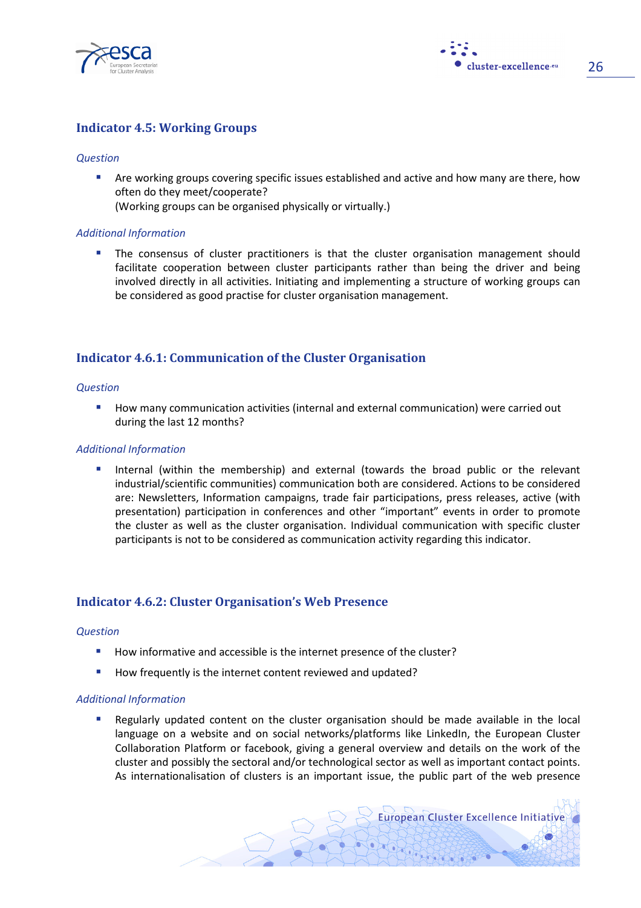

cluster-excellence.eu 26

### Indicator 4.5: Working Groups

#### **Question**

 Are working groups covering specific issues established and active and how many are there, how often do they meet/cooperate?

(Working groups can be organised physically or virtually.)

#### Additional Information

 The consensus of cluster practitioners is that the cluster organisation management should facilitate cooperation between cluster participants rather than being the driver and being involved directly in all activities. Initiating and implementing a structure of working groups can be considered as good practise for cluster organisation management.

#### Indicator 4.6.1: Communication of the Cluster Organisation

#### **Question**

**How many communication activities (internal and external communication) were carried out** during the last 12 months?

#### Additional Information

 Internal (within the membership) and external (towards the broad public or the relevant industrial/scientific communities) communication both are considered. Actions to be considered are: Newsletters, Information campaigns, trade fair participations, press releases, active (with presentation) participation in conferences and other "important" events in order to promote the cluster as well as the cluster organisation. Individual communication with specific cluster participants is not to be considered as communication activity regarding this indicator.

### Indicator 4.6.2: Cluster Organisation's Web Presence

#### **Question**

- How informative and accessible is the internet presence of the cluster?
- How frequently is the internet content reviewed and updated?

#### Additional Information

 Regularly updated content on the cluster organisation should be made available in the local language on a website and on social networks/platforms like LinkedIn, the European Cluster Collaboration Platform or facebook, giving a general overview and details on the work of the cluster and possibly the sectoral and/or technological sector as well as important contact points. As internationalisation of clusters is an important issue, the public part of the web presence

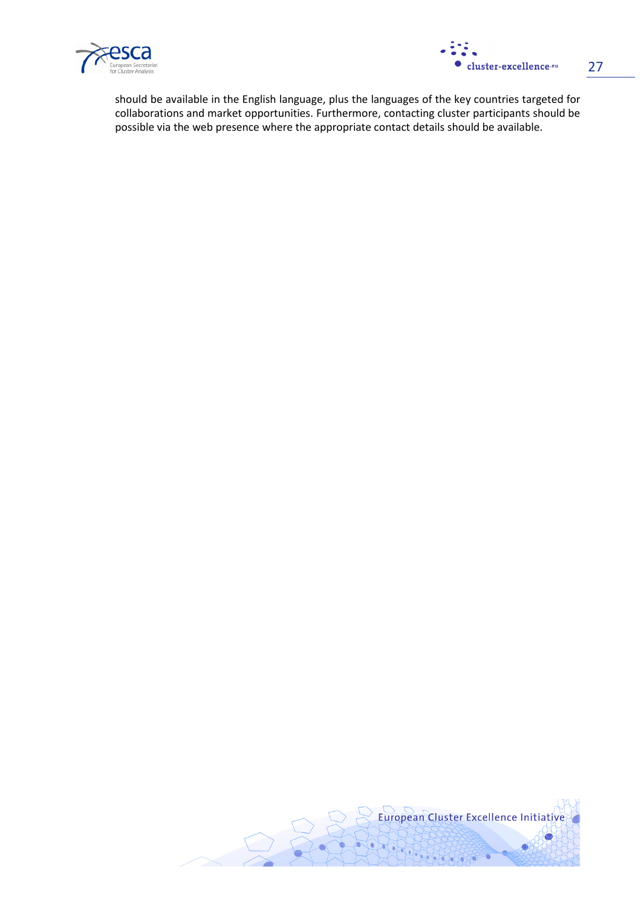



should be available in the English language, plus the languages of the key countries targeted for collaborations and market opportunities. Furthermore, contacting cluster participants should be possible via the web presence where the appropriate contact details should be available.

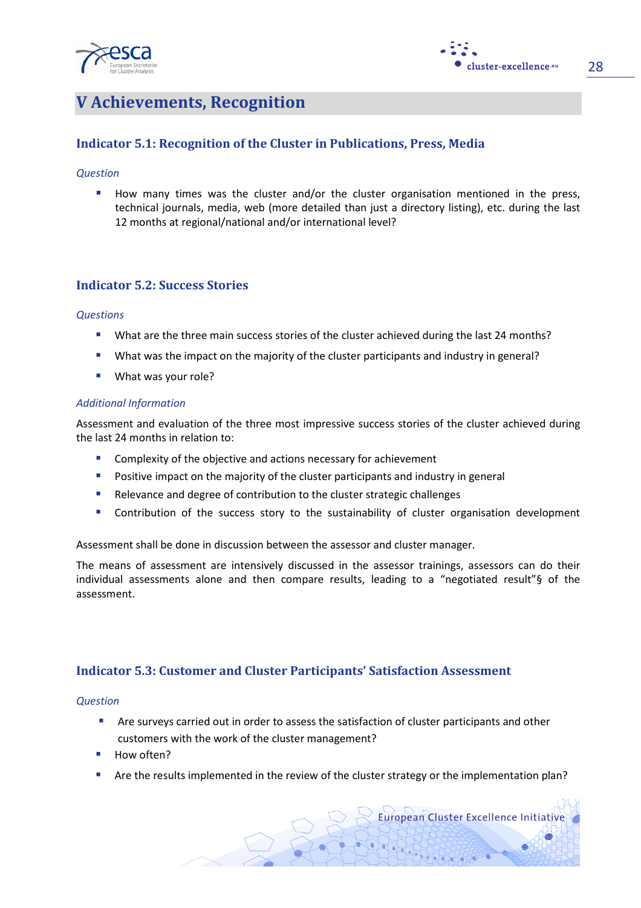



## V Achievements, Recognition

## Indicator 5.1: Recognition of the Cluster in Publications, Press, Media

#### **Question**

How many times was the cluster and/or the cluster organisation mentioned in the press, technical journals, media, web (more detailed than just a directory listing), etc. during the last 12 months at regional/national and/or international level?

### Indicator 5.2: Success Stories

#### **Questions**

- What are the three main success stories of the cluster achieved during the last 24 months?
- What was the impact on the majority of the cluster participants and industry in general?
- What was your role?

#### Additional Information

Assessment and evaluation of the three most impressive success stories of the cluster achieved during the last 24 months in relation to:

- **E** Complexity of the objective and actions necessary for achievement
- **Positive impact on the majority of the cluster participants and industry in general**
- **Relevance and degree of contribution to the cluster strategic challenges**
- Contribution of the success story to the sustainability of cluster organisation development

Assessment shall be done in discussion between the assessor and cluster manager.

The means of assessment are intensively discussed in the assessor trainings, assessors can do their individual assessments alone and then compare results, leading to a "negotiated result"§ of the assessment.

### Indicator 5.3: Customer and Cluster Participants' Satisfaction Assessment

#### **Question**

- **Are surveys carried out in order to assess the satisfaction of cluster participants and other** customers with the work of the cluster management?
- How often?
- **Are the results implemented in the review of the cluster strategy or the implementation plan?**

**European Cluster Excellence Initiative**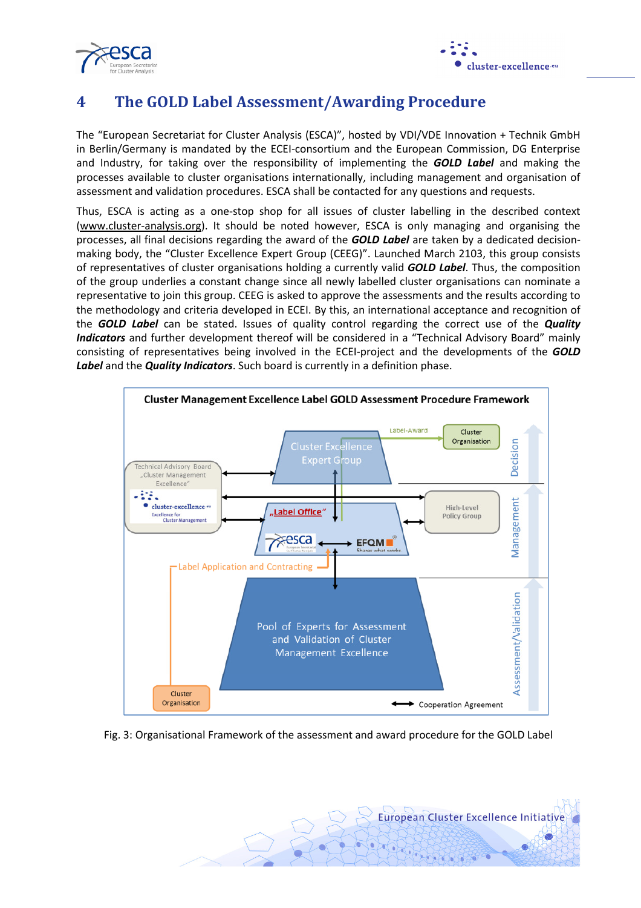



## 4 The GOLD Label Assessment/Awarding Procedure

The "European Secretariat for Cluster Analysis (ESCA)", hosted by VDI/VDE Innovation + Technik GmbH in Berlin/Germany is mandated by the ECEI-consortium and the European Commission, DG Enterprise and Industry, for taking over the responsibility of implementing the **GOLD Label** and making the processes available to cluster organisations internationally, including management and organisation of assessment and validation procedures. ESCA shall be contacted for any questions and requests.

Thus, ESCA is acting as a one-stop shop for all issues of cluster labelling in the described context (www.cluster-analysis.org). It should be noted however, ESCA is only managing and organising the processes, all final decisions regarding the award of the **GOLD Label** are taken by a dedicated decisionmaking body, the "Cluster Excellence Expert Group (CEEG)". Launched March 2103, this group consists of representatives of cluster organisations holding a currently valid **GOLD Label**. Thus, the composition of the group underlies a constant change since all newly labelled cluster organisations can nominate a representative to join this group. CEEG is asked to approve the assessments and the results according to the methodology and criteria developed in ECEI. By this, an international acceptance and recognition of the GOLD Label can be stated. Issues of quality control regarding the correct use of the Quality Indicators and further development thereof will be considered in a "Technical Advisory Board" mainly consisting of representatives being involved in the ECEI-project and the developments of the GOLD Label and the Quality Indicators. Such board is currently in a definition phase.



#### Fig. 3: Organisational Framework of the assessment and award procedure for the GOLD Label

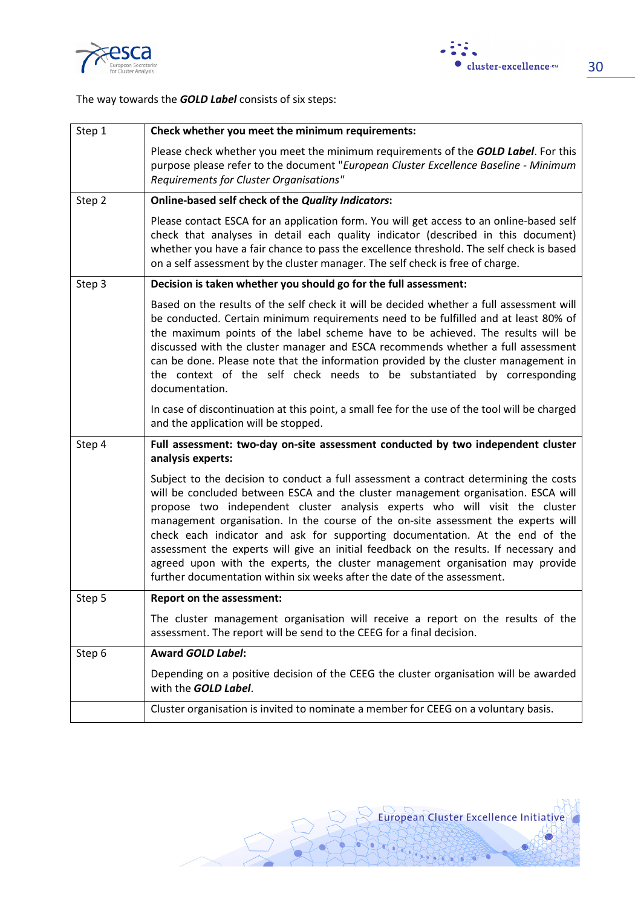



The way towards the **GOLD Label** consists of six steps:

| Step 1 | Check whether you meet the minimum requirements:                                                                                                                                                                                                                                                                                                                                                                                                                                                                                                                                                                                                                                     |
|--------|--------------------------------------------------------------------------------------------------------------------------------------------------------------------------------------------------------------------------------------------------------------------------------------------------------------------------------------------------------------------------------------------------------------------------------------------------------------------------------------------------------------------------------------------------------------------------------------------------------------------------------------------------------------------------------------|
|        | Please check whether you meet the minimum requirements of the <b>GOLD Label</b> . For this<br>purpose please refer to the document "European Cluster Excellence Baseline - Minimum<br>Requirements for Cluster Organisations"                                                                                                                                                                                                                                                                                                                                                                                                                                                        |
| Step 2 | <b>Online-based self check of the Quality Indicators:</b>                                                                                                                                                                                                                                                                                                                                                                                                                                                                                                                                                                                                                            |
|        | Please contact ESCA for an application form. You will get access to an online-based self<br>check that analyses in detail each quality indicator (described in this document)<br>whether you have a fair chance to pass the excellence threshold. The self check is based<br>on a self assessment by the cluster manager. The self check is free of charge.                                                                                                                                                                                                                                                                                                                          |
| Step 3 | Decision is taken whether you should go for the full assessment:                                                                                                                                                                                                                                                                                                                                                                                                                                                                                                                                                                                                                     |
|        | Based on the results of the self check it will be decided whether a full assessment will<br>be conducted. Certain minimum requirements need to be fulfilled and at least 80% of<br>the maximum points of the label scheme have to be achieved. The results will be<br>discussed with the cluster manager and ESCA recommends whether a full assessment<br>can be done. Please note that the information provided by the cluster management in<br>the context of the self check needs to be substantiated by corresponding<br>documentation.                                                                                                                                          |
|        | In case of discontinuation at this point, a small fee for the use of the tool will be charged<br>and the application will be stopped.                                                                                                                                                                                                                                                                                                                                                                                                                                                                                                                                                |
| Step 4 | Full assessment: two-day on-site assessment conducted by two independent cluster<br>analysis experts:                                                                                                                                                                                                                                                                                                                                                                                                                                                                                                                                                                                |
|        | Subject to the decision to conduct a full assessment a contract determining the costs<br>will be concluded between ESCA and the cluster management organisation. ESCA will<br>propose two independent cluster analysis experts who will visit the cluster<br>management organisation. In the course of the on-site assessment the experts will<br>check each indicator and ask for supporting documentation. At the end of the<br>assessment the experts will give an initial feedback on the results. If necessary and<br>agreed upon with the experts, the cluster management organisation may provide<br>further documentation within six weeks after the date of the assessment. |
| Step 5 | <b>Report on the assessment:</b>                                                                                                                                                                                                                                                                                                                                                                                                                                                                                                                                                                                                                                                     |
|        | The cluster management organisation will receive a report on the results of the<br>assessment. The report will be send to the CEEG for a final decision.                                                                                                                                                                                                                                                                                                                                                                                                                                                                                                                             |
| Step 6 | <b>Award GOLD Label:</b>                                                                                                                                                                                                                                                                                                                                                                                                                                                                                                                                                                                                                                                             |
|        | Depending on a positive decision of the CEEG the cluster organisation will be awarded<br>with the GOLD Label.                                                                                                                                                                                                                                                                                                                                                                                                                                                                                                                                                                        |
|        | Cluster organisation is invited to nominate a member for CEEG on a voluntary basis.                                                                                                                                                                                                                                                                                                                                                                                                                                                                                                                                                                                                  |